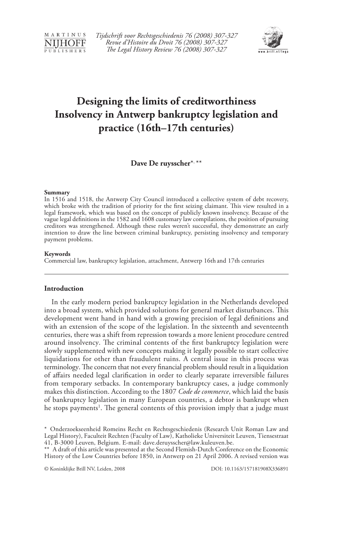

*Tijdschrift voor Rechtsgeschiedenis 76 (2008) 307-327 Revue d'Histoire du Droit 76 (2008) 307-327 The Legal History Review 76 (2008) 307-327*



# **Designing the limits of creditworthiness Insolvency in Antwerp bankruptcy legislation and practice (16th–17th centuries)**

# **Dave De ruysscher**\*, \*\*

#### **Summary**

In 1516 and 1518, the Antwerp City Council introduced a collective system of debt recovery, which broke with the tradition of priority for the first seizing claimant. This view resulted in a legal framework, which was based on the concept of publicly known insolvency. Because of the vague legal definitions in the 1582 and 1608 customary law compilations, the position of pursuing creditors was strengthened. Although these rules weren't successful, they demonstrate an early intention to draw the line between criminal bankruptcy, persisting insolvency and temporary payment problems.

#### **Keywords**

Commercial law, bankruptcy legislation, attachment, Antwerp 16th and 17th centuries

#### **Introduction**

In the early modern period bankruptcy legislation in the Netherlands developed into a broad system, which provided solutions for general market disturbances. This development went hand in hand with a growing precision of legal definitions and with an extension of the scope of the legislation. In the sixteenth and seventeenth centuries, there was a shift from repression towards a more lenient procedure centred around insolvency. The criminal contents of the first bankruptcy legislation were slowly supplemented with new concepts making it legally possible to start collective liquidations for other than fraudulent ruins. A central issue in this process was terminology. The concern that not every financial problem should result in a liquidation of affairs needed legal clarification in order to clearly separate irreversible failures from temporary setbacks. In contemporary bankruptcy cases, a judge commonly makes this distinction. According to the 1807 *Code de commerce*, which laid the basis of bankruptcy legislation in many European countries, a debtor is bankrupt when he stops payments<sup>1</sup>. The general contents of this provision imply that a judge must

\*\* A draft of this article was presented at the Second Flemish-Dutch Conference on the Economic History of the Low Countries before 1850, in Antwerp on 21 April 2006. A revised version was

© Koninklijke Brill NV, Leiden, 2008 DOI: 10.1163/157181908X336891

<sup>\*</sup> Onderzoekseenheid Romeins Recht en Rechtsgeschiedenis (Research Unit Roman Law and Legal History), Faculteit Rechten (Faculty of Law), Katholieke Universiteit Leuven, Tiensestraat 41, B-3000 Leuven, Belgium. E-mail: dave.deruysscher@law.kuleuven.be.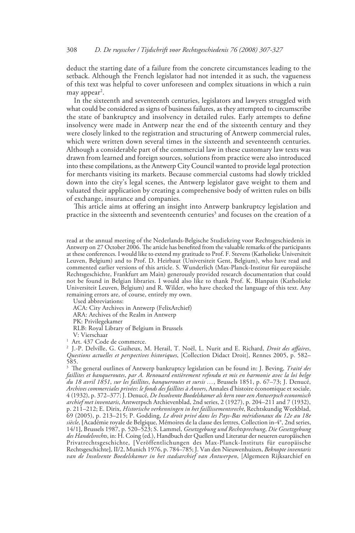deduct the starting date of a failure from the concrete circumstances leading to the setback. Although the French legislator had not intended it as such, the vagueness of this text was helpful to cover unforeseen and complex situations in which a ruin may appear<sup>2</sup>.

In the sixteenth and seventeenth centuries, legislators and lawyers struggled with what could be considered as signs of business failures, as they attempted to circumscribe the state of bankruptcy and insolvency in detailed rules. Early attempts to define insolvency were made in Antwerp near the end of the sixteenth century and they were closely linked to the registration and structuring of Antwerp commercial rules, which were written down several times in the sixteenth and seventeenth centuries. Although a considerable part of the commercial law in these customary law texts was drawn from learned and foreign sources, solutions from practice were also introduced into these compilations, as the Antwerp City Council wanted to provide legal protection for merchants visiting its markets. Because commercial customs had slowly trickled down into the city's legal scenes, the Antwerp legislator gave weight to them and valuated their application by creating a comprehensive body of written rules on bills of exchange, insurance and companies.

This article aims at offering an insight into Antwerp bankruptcy legislation and practice in the sixteenth and seventeenth centuries<sup>3</sup> and focuses on the creation of a

read at the annual meeting of the Nederlands-Belgische Studiekring voor Rechtsgeschiedenis in Antwerp on 27 October 2006. The article has benefited from the valuable remarks of the participants at these conferences. I would like to extend my gratitude to Prof. F. Stevens (Katholieke Universiteit Leuven, Belgium) and to Prof. D. Heirbaut (Universiteit Gent, Belgium), who have read and commented earlier versions of this article. S. Wunderlich (Max-Planck-Institut für europäische Rechtsgeschichte, Frankfurt am Main) generously provided research documentation that could not be found in Belgian libraries. I would also like to thank Prof. K. Blanpain (Katholieke Universiteit Leuven, Belgium) and R. Wilder, who have checked the language of this text. Any remaining errors are, of course, entirely my own.

Used abbreviations:

ACA: City Archives in Antwerp (FelixArchief) ARA: Archives of the Realm in Antwerp

PK: Privilegekamer

RLB: Royal Library of Belgium in Brussels

V: Vierschaar

<sup>1</sup> Art. 437 Code de commerce.

<sup>2</sup> J.-P. Delville, G. Guiheux, M. Herail, T. Noël, L. Nurit and E. Richard, *Droit des affaires*, *Questions actuelles et perspectives historiques*, [Collection Didact Droit], Rennes 2005, p. 582– 585.

<sup>3</sup> The general outlines of Antwerp bankruptcy legislation can be found in: J. Beving, *Traité des faillites et banqueroutes*, *par A. Renouard entièrement refondu et mis en harmonie avec la loi belge du 18 avril 1851*, *sur les faillites*, *banqueroutes et sursis …*, Brussels 1851, p. 67–73; J. Denucé, *Archives commerciales privées*: *le fonds des faillites à Anvers*, Annales d'histoire économique et sociale, 4 (1932), p. 372–377; J. Denucé, *De Insolvente Boedelskamer als kern voor een Antwerpsch economisch archief met inventaris*, Antwerpsch Archievenblad, 2nd series, 2 (1927), p. 204–211 and 7 (1932), p. 211–212; E. Dirix, *Historische verkenningen in het faillissementsrecht*, Rechtskundig Weekblad, 69 (2005), p. 213–215; P. Godding, *Le droit privé dans les Pays-Bas méridionaux du 12e au 18e siècle*, [Académie royale de Belgique, Mémoires de la classe des lettres, Collection in-4°, 2nd series, 14/1], Brussels 1987, p. 520–523; S. Lammel, *Gesetzgebung und Rechtsprechung*, *Die Gesetzgebung des Handelsrechts*, in: H. Coing (ed.), Handbuch der Quellen und Literatur der neueren europäischen Privatrechtsgeschichte, [Veröffentlichungen des Max-Planck-Instituts für europäische Rechtsgeschichte], II/2, Munich 1976, p. 784–785; J. Van den Nieuwenhuizen, *Beknopte inventaris van de Insolvente Boedelskamer in het stadsarchief van Antwerpen*, [Algemeen Rijksarchief en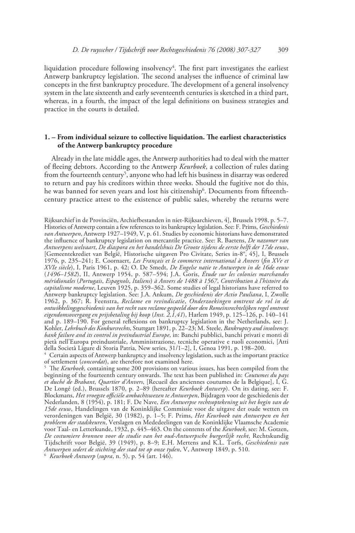liquidation procedure following insolvency<sup>4</sup>. The first part investigates the earliest Antwerp bankruptcy legislation. The second analyses the influence of criminal law concepts in the first bankruptcy procedure. The development of a general insolvency system in the late sixteenth and early seventeenth centuries is sketched in a third part, whereas, in a fourth, the impact of the legal definitions on business strategies and practice in the courts is detailed.

# **1. – From individual seizure to collective liquidation. The earliest characteristics of the Antwerp bankruptcy procedure**

Already in the late middle ages, the Antwerp authorities had to deal with the matter of fleeing debtors. According to the Antwerp *Keurboek*, a collection of rules dating from the fourteenth century<sup>5</sup>, anyone who had left his business in disarray was ordered to return and pay his creditors within three weeks. Should the fugitive not do this, he was banned for seven years and lost his citizenship<sup>6</sup>. Documents from fifteenthcentury practice attest to the existence of public sales, whereby the returns were

Rijksarchief in de Provinciën, Archiefbestanden in niet-Rijksarchieven, 4], Brussels 1998, p. 5–7. Histories of Antwerp contain a few references to its bankruptcy legislation. See: F. Prims, *Geschiedenis van Antwerpen*, Antwerp 1927–1949, V, p. 61. Studies by economic historians have demonstrated the influence of bankruptcy legislation on mercantile practice. See: R. Baetens, *De nazomer van Antwerpens welvaart*, *De diaspora en het handelshuis De Groote tijdens de eerste helft der 17de eeuw*, [Gemeentekrediet van België, Historische uitgaven Pro Civitate, Series in-8°, 45], I, Brussels 1976, p. 235–241; E. Coornaert, *Les Français et le commerce international à Anvers* (*fin XVe et XVIe siècle*), I, Paris 1961, p. 42; O. De Smedt, *De Engelse natie te Antwerpen in de 16de eeuw*  (*1496–1582*), II, Antwerp 1954, p. 587–594; J.A. Goris, *Étude sur les colonies marchandes méridionales* (*Portugais*, *Espagnols*, *Italiens*) *à Anvers de 1488 à 1567*, *Contribution à l'histoire du capitalisme moderne*, Leuven 1925, p. 359–362. Some studies of legal historians have referred to Antwerp bankruptcy legislation. See: J.A. Ankum, *De geschiedenis der Actio Pauliana*, I, Zwolle 1962, p. 367; R. Feenstra, *Reclame en revindicatie*, *Onderzoekingen omtrent de rol in de ontwikkelingsgeschiedenis van het recht van reclame gespeeld door den Romeinsrechtelijken regel omtrent eigendomsovergang en prijsbetaling bij koop* (*Inst. 2,1,41*), Harlem 1949, p. 125–126, p. 140–141 and p. 189–190. For general reflexions on bankruptcy legislation in the Netherlands, see: J. Kohler, *Lehrbuch des Konkursrechts*, Stuttgart 1891, p. 22–23; M. Steele, *Bankruptcy and insolvency*: *bank failure and its control in preindustrial Europe*, in: Banchi pubblici, banchi privati e monti di pietà nell'Europa preindustriale, Amministrazione, tecniche operative e ruoli economici, [Atti della Società Ligure di Storia Patria, New series, 31/1–2], I, Genoa 1991, p. 198–200.

<sup>4</sup> Certain aspects of Antwerp bankruptcy and insolvency legislation, such as the important practice of settlement (*concordat*), are therefore not examined here.

<sup>5</sup> The *Keurboek*, containing some 200 provisions on various issues, has been compiled from the beginning of the fourteenth century onwards. The text has been published in: *Coutumes du pays et duché de Brabant*, *Quartier d'Anvers*, [Recueil des anciennes coutumes de la Belgique], I, G. De Longé (ed.), Brussels 1870, p. 2–89 (hereafter *Keurboek Antwerp*). On its dating, see: F. Blockmans, *Het vroegste officiële ambachtswezen te Antwerpen*, Bijdragen voor de geschiedenis der Nederlanden, 8 (1954), p. 181; F. De Nave, *Een Antwerpse rechtsoptekening uit het begin van de 15de eeuw*, Handelingen van de Koninklijke Commissie voor de uitgave der oude wetten en verordeningen van België, 30 (1982), p. 1–5; F. Prims, *Het Keurboek van Antwerpen en het probleem der stadskeuren*, Verslagen en Mededeelingen van de Koninklijke Vlaamsche Academie voor Taal- en Letterkunde, 1932, p. 445–463. On the contents of the *Keurboek*, see: M. Gotzen, *De costumiere bronnen voor de studie van het oud-Antwerpsche burgerlijk recht*, Rechtskundig Tijdschrift voor België, 39 (1949), p. 8–9; E.H. Mertens and K.L. Torfs, *Geschiedenis van Antwerpen sedert de stichting der stad tot op onze tyden*, V, Antwerp 1849, p. 510.

<sup>6</sup> *Keurboek Antwerp* (*supra*, n. 5), p. 54 (art. 146).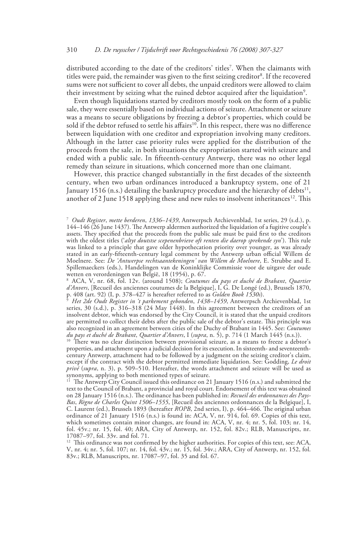distributed according to the date of the creditors' titles7 . When the claimants with titles were paid, the remainder was given to the first seizing creditor<sup>8</sup>. If the recovered sums were not sufficient to cover all debts, the unpaid creditors were allowed to claim their investment by seizing what the ruined debtor acquired after the liquidation $^{\circ}$ .

Even though liquidations started by creditors mostly took on the form of a public sale, they were essentially based on individual actions of seizure. Attachment or seizure was a means to secure obligations by freezing a debtor's properties, which could be sold if the debtor refused to settle his affairs<sup>10</sup>. In this respect, there was no difference between liquidation with one creditor and expropriation involving many creditors. Although in the latter case priority rules were applied for the distribution of the proceeds from the sale, in both situations the expropriation started with seizure and ended with a public sale. In fifteenth-century Antwerp, there was no other legal remedy than seizure in situations, which concerned more than one claimant.

However, this practice changed substantially in the first decades of the sixteenth century, when two urban ordinances introduced a bankruptcy system, one of 21 January 1516 (n.s.) detailing the bankruptcy procedure and the hierarchy of debts<sup>11</sup>, another of 2 June 1518 applying these and new rules to insolvent inheritances<sup>12</sup>. This

<sup>8</sup> ACA, V, nr. 68, fol. 12v. (around 1508); *Coutumes du pays et duché de Brabant*, *Quartier d'Anvers*, [Recueil des anciennes coutumes de la Belgique], I, G. De Longé (ed.), Brussels 1870, p. 408 (art. 92) (I, p. 378–427 is hereafter referred to as *Golden Book 1530s*).

<sup>9</sup> *Het 2de Oudt Register in 't parkement gebonden*, *1438–1459*, Antwerpsch Archievenblad, 1st series, 30 (s.d.), p. 316–318<sup>'</sup> (24 May 1448). In this agreement between the creditors of an insolvent debtor, which was endorsed by the City Council, it is stated that the unpaid creditors are permitted to collect their debts after the public sale of the debtor's estate. This principle was also recognized in an agreement between cities of the Duchy of Brabant in 1445. See: *Coutumes du pays et duché de Brabant*, *Quartier d'Anvers*, I (*supra*, n. 5), p. 714 (1 March 1445 (n.s.)).

<sup>10</sup> There was no clear distinction between provisional seizure, as a means to freeze a debtor's properties, and attachment upon a judicial decision for its execution. In sixteenth- and seventeenthcentury Antwerp, attachment had to be followed by a judgment on the seizing creditor's claim, except if the contract with the debtor permitted immediate liquidation. See: Godding, *Le droit privé* (*supra*, n. 3), p. 509–510. Hereafter, the words attachment and seizure will be used as synonyms, applying to both mentioned types of seizure.

 $11$  The Antwerp City Council issued this ordinance on 21 January 1516 (n.s.) and submitted the text to the Council of Brabant, a provincial and royal court. Endorsement of this text was obtained on 28 January 1516 (n.s.). The ordinance has been published in: *Recueil des ordonnances des Pays-Bas*, *Règne de Charles Quint 1506–1555*, [Recueil des anciennes ordonnances de la Belgique], I, C. Laurent (ed.), Brussels 1893 (hereafter *ROPB*, 2nd series, I), p. 464–466. The original urban ordinance of 21 January 1516 (n.s.) is found in: ACA, V, nr. 914, fol. 69. Copies of this text, which sometimes contain minor changes, are found in: ACA, V, nr. 4; nr. 5, fol. 103; nr. 14, fol. 45v.; nr. 15, fol. 40; ARA, City of Antwerp, nr. 152, fol. 82v.; RLB, Manuscripts, nr. 17087–97, fol. 33v. and fol. 71.

<sup>12</sup> This ordinance was not confirmed by the higher authorities. For copies of this text, see: ACA, V, nr. 4; nr. 5, fol. 107; nr. 14, fol. 43v.; nr. 15, fol. 34v.; ARA, City of Antwerp, nr. 152, fol. 83v.; RLB, Manuscripts, nr. 17087–97, fol. 35 and fol. 67.

<sup>7</sup> *Oudt Register*, *mette berderen*, *1336–1439*, Antwerpsch Archievenblad, 1st series, 29 (s.d.), p. 144–146 (26 June 1437). The Antwerp aldermen authorized the liquidation of a fugitive couple's assets. They specified that the proceeds from the public sale must be paid first to the creditors with the oldest titles ('*altyt doutstse scepenenbrieve oft renten die daerop sprekende syn*'). This rule was linked to a principle that gave older hypothecation priority over younger, as was already stated in an early-fifteenth-century legal comment by the Antwerp urban official Willem de Moelnere. See: *De 'Antwerpse rechtsaantekeningen' van Willem de Moelnere*, E. Strubbe and E. Spillemaeckers (eds.), Handelingen van de Koninklijke Commissie voor de uitgave der oude wetten en verordeningen van België, 18 (1954), p. 67.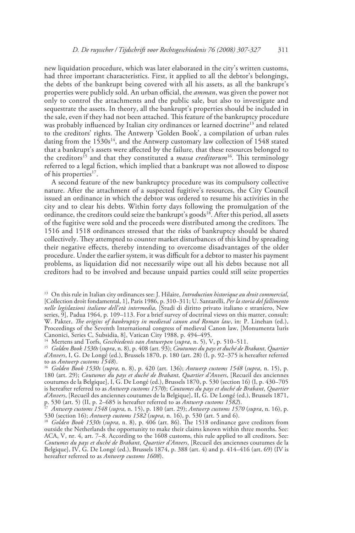new liquidation procedure, which was later elaborated in the city's written customs, had three important characteristics. First, it applied to all the debtor's belongings, the debts of the bankrupt being covered with all his assets, as all the bankrupt's properties were publicly sold. An urban official, the *amman*, was given the power not only to control the attachments and the public sale, but also to investigate and sequestrate the assets. In theory, all the bankrupt's properties should be included in the sale, even if they had not been attached. This feature of the bankruptcy procedure was probably influenced by Italian city ordinances or learned doctrine<sup>13</sup> and related to the creditors' rights. The Antwerp 'Golden Book', a compilation of urban rules dating from the  $1530s^{14}$ , and the Antwerp customary law collection of 1548 stated that a bankrupt's assets were affected by the failure, that these resources belonged to the creditors<sup>15</sup> and that they constituted a *massa creditorum*<sup>16</sup>. This terminology referred to a legal fiction, which implied that a bankrupt was not allowed to dispose of his properties<sup>17</sup>.

A second feature of the new bankruptcy procedure was its compulsory collective nature. After the attachment of a suspected fugitive's resources, the City Council issued an ordinance in which the debtor was ordered to resume his activities in the city and to clear his debts. Within forty days following the promulgation of the ordinance, the creditors could seize the bankrupt's goods<sup>18</sup>. After this period, all assets of the fugitive were sold and the proceeds were distributed among the creditors. The 1516 and 1518 ordinances stressed that the risks of bankruptcy should be shared collectively. They attempted to counter market disturbances of this kind by spreading their negative effects, thereby intending to overcome disadvantages of the older procedure. Under the earlier system, it was difficult for a debtor to master his payment problems, as liquidation did not necessarily wipe out all his debts because not all creditors had to be involved and because unpaid parties could still seize properties

<sup>16</sup> *Golden Book 1530s* (*supra*, n. 8), p. 420 (art. 136); *Antwerp customs 1548* (*supra*, n. 15), p. 180 (art. 29); *Coutumes du pays et duché de Brabant*, *Quartier d'Anvers*, [Recueil des anciennes coutumes de la Belgique], I, G. De Longé (ed.), Brussels 1870, p. 530 (section 16) (I, p. 430–705 is hereafter referred to as *Antwerp customs 1570*); *Coutumes du pays et duché de Brabant*, *Quartier d'Anvers*, [Recueil des anciennes coutumes de la Belgique], II, G. De Longé (ed.), Brussels 1871, p. 530 (art. 5) (II, p. 2–685 is hereafter referred to as *Antwerp customs 1582*).

<sup>17</sup> *Antwerp customs 1548* (*supra*, n. 15), p. 180 (art. 29); *Antwerp customs 1570* (*supra*, n. 16), p. 530 (section 16); *Antwerp customs 1582* (*supra*, n. 16), p. 530 (art. 5 and 6).

<sup>18</sup> *Golden Book 1530s* (*supra*, n. 8), p. 406 (art. 86). The 1518 ordinance gave creditors from outside the Netherlands the opportunity to make their claims known within three months. See: ACA, V, nr. 4, art. 7-8. According to the 1608 customs, this rule applied to all creditors. See: *Coutumes du pays et duché de Brabant*, *Quartier d'Anvers*, [Recueil des anciennes coutumes de la Belgique], IV, G. De Longé (ed.), Brussels 1874, p. 388 (art. 4) and p. 414–416 (art. 69) (IV is hereafter referred to as *Antwerp customs 1608*).

<sup>13</sup> On this rule in Italian city ordinances see: J. Hilaire, *Introduction historique au droit commercial*, [Collection droit fondamental, 1], Paris 1986, p. 310–311; U. Santarelli, *Per la storia del fallimento nelle legislazioni italiane dell'età intermedia*, [Studi di diritto privato italiano e straniero, New series, 9], Padua 1964, p. 109–113. For a brief survey of doctrinal views on this matter, consult: W. Pakter, *The origins of bankruptcy in medieval canon and Roman law*, in: P. Linehan (ed.), Proceedings of the Seventh International congress of medieval Canon law, [Monumenta Iuris Canonici, Series C, Subsidia, 8], Vatican City 1988, p. 494–495.

<sup>14</sup> Mertens and Torfs, *Geschiedenis van Antwerpen* (*supra*, n. 5), V, p. 510–511.

<sup>15</sup> *Golden Book 1530s* (*supra*, n. 8), p. 408 (art. 93); *Coutumes du pays et duché de Brabant*, *Quartier d'Anvers*, I, G. De Longé (ed.), Brussels 1870, p. 180 (art. 28) (I, p. 92–375 is hereafter referred to as *Antwerp customs 1548*).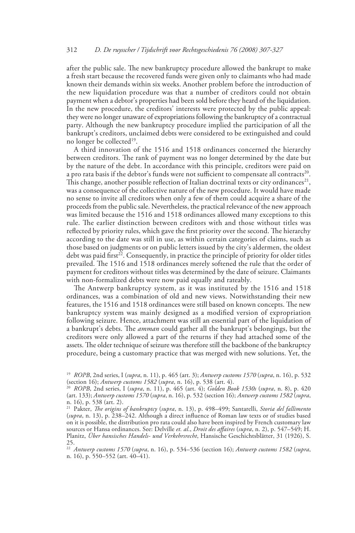after the public sale. The new bankruptcy procedure allowed the bankrupt to make a fresh start because the recovered funds were given only to claimants who had made known their demands within six weeks. Another problem before the introduction of the new liquidation procedure was that a number of creditors could not obtain payment when a debtor's properties had been sold before they heard of the liquidation. In the new procedure, the creditors' interests were protected by the public appeal: they were no longer unaware of expropriations following the bankruptcy of a contractual party. Although the new bankruptcy procedure implied the participation of all the bankrupt's creditors, unclaimed debts were considered to be extinguished and could no longer be collected<sup>19</sup>.

A third innovation of the 1516 and 1518 ordinances concerned the hierarchy between creditors. The rank of payment was no longer determined by the date but by the nature of the debt. In accordance with this principle, creditors were paid on a pro rata basis if the debtor's funds were not sufficient to compensate all contracts20. This change, another possible reflection of Italian doctrinal texts or city ordinances<sup>21</sup>, was a consequence of the collective nature of the new procedure. It would have made no sense to invite all creditors when only a few of them could acquire a share of the proceeds from the public sale. Nevertheless, the practical relevance of the new approach was limited because the 1516 and 1518 ordinances allowed many exceptions to this rule. The earlier distinction between creditors with and those without titles was reflected by priority rules, which gave the first priority over the second. The hierarchy according to the date was still in use, as within certain categories of claims, such as those based on judgments or on public letters issued by the city's aldermen, the oldest  $\delta$  debt was paid first<sup>22</sup>. Consequently, in practice the principle of priority for older titles prevailed. The 1516 and 1518 ordinances merely softened the rule that the order of payment for creditors without titles was determined by the date of seizure. Claimants with non-formalized debts were now paid equally and rateably.

The Antwerp bankruptcy system, as it was instituted by the 1516 and 1518 ordinances, was a combination of old and new views. Notwithstanding their new features, the 1516 and 1518 ordinances were still based on known concepts. The new bankruptcy system was mainly designed as a modified version of expropriation following seizure. Hence, attachment was still an essential part of the liquidation of a bankrupt's debts. The *amman* could gather all the bankrupt's belongings, but the creditors were only allowed a part of the returns if they had attached some of the assets. The older technique of seizure was therefore still the backbone of the bankruptcy procedure, being a customary practice that was merged with new solutions. Yet, the

<sup>19</sup> *ROPB*, 2nd series, I (*supra*, n. 11), p. 465 (art. 3); *Antwerp customs 1570* (*supra*, n. 16), p. 532 (section 16); *Antwerp customs 1582* (*supra*, n. 16), p. 538 (art. 4).

<sup>20</sup> *ROPB*, 2nd series, I (*supra*, n. 11), p. 465 (art. 4); *Golden Book 1530s* (*supra*, n. 8), p. 420 (art. 133); *Antwerp customs 1570* (*supra*, n. 16), p. 532 (section 16); *Antwerp customs 1582* (*supra*, n. 16), p. 538 (art. 2).

<sup>21</sup> Pakter, *The origins of bankruptcy* (*supra*, n. 13), p. 498–499; Santarelli, *Storia del fallimento*  (*supra*, n. 13), p. 238–242. Although a direct influence of Roman law texts or of studies based on it is possible, the distribution pro rata could also have been inspired by French customary law sources or Hansa ordinances. See: Delville *et. al*., *Droit des affaires* (*supra*, n. 2), p. 547–549; H. Planitz, *Über hansisches Handels- und Verkehrsrecht*, Hansische Geschichtsblätter, 31 (1926), S. 25.

<sup>22</sup> *Antwerp customs 1570* (*supra*, n. 16), p. 534–536 (section 16); *Antwerp customs 1582* (*supra*, n. 16), p. 550–552 (art. 40–41).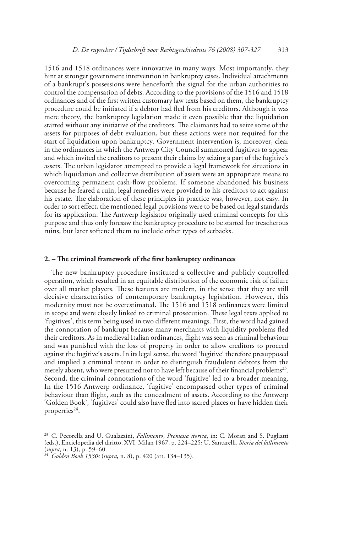1516 and 1518 ordinances were innovative in many ways. Most importantly, they hint at stronger government intervention in bankruptcy cases. Individual attachments of a bankrupt's possessions were henceforth the signal for the urban authorities to control the compensation of debts. According to the provisions of the 1516 and 1518 ordinances and of the first written customary law texts based on them, the bankruptcy procedure could be initiated if a debtor had fled from his creditors. Although it was mere theory, the bankruptcy legislation made it even possible that the liquidation started without any initiative of the creditors. The claimants had to seize some of the assets for purposes of debt evaluation, but these actions were not required for the start of liquidation upon bankruptcy. Government intervention is, moreover, clear in the ordinances in which the Antwerp City Council summoned fugitives to appear and which invited the creditors to present their claims by seizing a part of the fugitive's assets. The urban legislator attempted to provide a legal framework for situations in which liquidation and collective distribution of assets were an appropriate means to overcoming permanent cash-flow problems. If someone abandoned his business because he feared a ruin, legal remedies were provided to his creditors to act against his estate. The elaboration of these principles in practice was, however, not easy. In order to sort effect, the mentioned legal provisions were to be based on legal standards for its application. The Antwerp legislator originally used criminal concepts for this purpose and thus only foresaw the bankruptcy procedure to be started for treacherous ruins, but later softened them to include other types of setbacks.

### **2. – The criminal framework of the first bankruptcy ordinances**

The new bankruptcy procedure instituted a collective and publicly controlled operation, which resulted in an equitable distribution of the economic risk of failure over all market players. These features are modern, in the sense that they are still decisive characteristics of contemporary bankruptcy legislation. However, this modernity must not be overestimated. The 1516 and 1518 ordinances were limited in scope and were closely linked to criminal prosecution. These legal texts applied to 'fugitives', this term being used in two different meanings. First, the word had gained the connotation of bankrupt because many merchants with liquidity problems fled their creditors. As in medieval Italian ordinances, flight was seen as criminal behaviour and was punished with the loss of property in order to allow creditors to proceed against the fugitive's assets. In its legal sense, the word 'fugitive' therefore presupposed and implied a criminal intent in order to distinguish fraudulent debtors from the merely absent, who were presumed not to have left because of their financial problems<sup>23</sup>. Second, the criminal connotations of the word 'fugitive' led to a broader meaning. In the 1516 Antwerp ordinance, 'fugitive' encompassed other types of criminal behaviour than flight, such as the concealment of assets. According to the Antwerp 'Golden Book', 'fugitives' could also have fled into sacred places or have hidden their properties $^{24}$ .

<sup>23</sup> C. Pecorella and U. Gualazzini, *Fallimento*, *Premessa storica*, in: C. Morati and S. Pugliatti (eds.), Enciclopedia del diritto, XVI, Milan 1967, p. 224–225; U. Santarelli, *Storia del fallimento*  (*supra*, n. 13), p. 59–60.

<sup>24</sup> *Golden Book 1530s* (*supra*, n. 8), p. 420 (art. 134–135).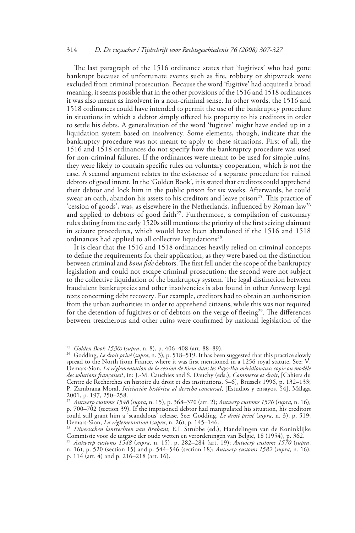The last paragraph of the 1516 ordinance states that 'fugitives' who had gone bankrupt because of unfortunate events such as fire, robbery or shipwreck were excluded from criminal prosecution. Because the word 'fugitive' had acquired a broad meaning, it seems possible that in the other provisions of the 1516 and 1518 ordinances it was also meant as insolvent in a non-criminal sense. In other words, the 1516 and 1518 ordinances could have intended to permit the use of the bankruptcy procedure in situations in which a debtor simply offered his property to his creditors in order to settle his debts. A generalization of the word 'fugitive' might have ended up in a liquidation system based on insolvency. Some elements, though, indicate that the bankruptcy procedure was not meant to apply to these situations. First of all, the 1516 and 1518 ordinances do not specify how the bankruptcy procedure was used for non-criminal failures. If the ordinances were meant to be used for simple ruins, they were likely to contain specific rules on voluntary cooperation, which is not the case. A second argument relates to the existence of a separate procedure for ruined debtors of good intent. In the 'Golden Book', it is stated that creditors could apprehend their debtor and lock him in the public prison for six weeks. Afterwards, he could swear an oath, abandon his assets to his creditors and leave prison<sup>25</sup>. This practice of 'cession of goods', was, as elsewhere in the Netherlands, influenced by Roman law26 and applied to debtors of good faith<sup>27</sup>. Furthermore, a compilation of customary rules dating from the early 1520s still mentions the priority of the first seizing claimant in seizure procedures, which would have been abandoned if the 1516 and 1518 ordinances had applied to all collective liquidations<sup>28</sup>.

It is clear that the 1516 and 1518 ordinances heavily relied on criminal concepts to define the requirements for their application, as they were based on the distinction between criminal and *bona fide* debtors. The first fell under the scope of the bankruptcy legislation and could not escape criminal prosecution; the second were not subject to the collective liquidation of the bankruptcy system. The legal distinction between fraudulent bankruptcies and other insolvencies is also found in other Antwerp legal texts concerning debt recovery. For example, creditors had to obtain an authorisation from the urban authorities in order to apprehend citizens, while this was not required for the detention of fugitives or of debtors on the verge of fleeing<sup>29</sup>. The differences between treacherous and other ruins were confirmed by national legislation of the

<sup>25</sup> *Golden Book 1530s* (*supra*, n. 8), p. 406–408 (art. 88–89).

<sup>26</sup> Godding, *Le droit privé* (*supra*, n. 3), p. 518–519. It has been suggested that this practice slowly spread to the North from France, where it was first mentioned in a 1256 royal statute. See: V. Demars-Sion, *La réglementation de la cession de biens dans les Pays-Bas méridionaux*: *copie ou modèle des solutions françaises*?, in: J.-M. Cauchies and S. Dauchy (eds.), *Commerce et droit*, [Cahiers du Centre de Recherches en histoire du droit et des institutions, 5–6], Brussels 1996, p. 132–133; P. Zambrana Moral, *Iniciación histórica al derecho concursal*, [Estudios y ensayos, 54], Málaga 2001, p. 197, 250–258.

<sup>27</sup> *Antwerp customs 1548* (*supra*, n. 15), p. 368–370 (art. 2); *Antwerp customs 1570* (*supra*, n. 16), p. 700–702 (section 39). If the imprisoned debtor had manipulated his situation, his creditors could still grant him a 'scandalous' release. See: Godding, *Le droit privé* (*supra*, n. 3), p. 519; Demars-Sion, *La réglementation* (*supra*, n. 26), p. 145–146.

<sup>28</sup> *Diversschen lantrechten van Brabant*, E.I. Strubbe (ed.), Handelingen van de Koninklijke Commissie voor de uitgave der oude wetten en verordeningen van België, 18 (1954), p. 362.

<sup>29</sup> *Antwerp customs 1548* (*supra*, n. 15), p. 282–284 (art. 19); *Antwerp customs 1570* (*supra*, n. 16), p. 520 (section 15) and p. 544–546 (section 18); *Antwerp customs 1582* (*supra*, n. 16), p. 114 (art. 4) and p. 216–218 (art. 16).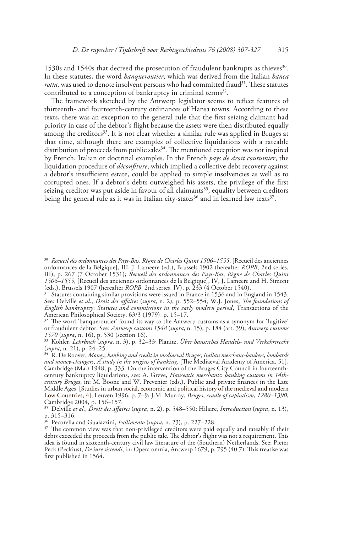1530s and 1540s that decreed the prosecution of fraudulent bankrupts as thieves $30$ . In these statutes, the word *banqueroutier*, which was derived from the Italian *banca rotta*, was used to denote insolvent persons who had committed fraud<sup>31</sup>. These statutes contributed to a conception of bankruptcy in criminal terms<sup>32</sup>.

The framework sketched by the Antwerp legislator seems to reflect features of thirteenth- and fourteenth-century ordinances of Hansa towns. According to these texts, there was an exception to the general rule that the first seizing claimant had priority in case of the debtor's flight because the assets were then distributed equally among the creditors<sup>33</sup>. It is not clear whether a similar rule was applied in Bruges at that time, although there are examples of collective liquidations with a rateable distribution of proceeds from public sales<sup>34</sup>. The mentioned exception was not inspired by French, Italian or doctrinal examples. In the French *pays de droit coutumier*, the liquidation procedure of *déconfiture*, which implied a collective debt recovery against a debtor's insufficient estate, could be applied to simple insolvencies as well as to corrupted ones. If a debtor's debts outweighed his assets, the privilege of the first seizing creditor was put aside in favour of all claimants<sup>35</sup>, equality between creditors being the general rule as it was in Italian city-states<sup>36</sup> and in learned law texts<sup>37</sup>.

 $31$  Statutes containing similar provisions were issued in France in 1536 and in England in 1543. See: Delville *et al*., *Droit des affaires* (*supra*, n. 2), p. 552–554; W.J. Jones, *The foundations of English bankruptcy*: *Statutes and commissions in the early modern period*, Transactions of the American Philosophical Society, 63/3 (1979), p. 15–17.

<sup>32</sup> The word 'banqueroutier' found its way to the Antwerp customs as a synonym for 'fugitive' or fraudulent debtor. See: *Antwerp customs 1548* (*supra*, n. 15), p. 184 (art. 39); *Antwerp customs 1570* (*supra*, n. 16), p. 530 (section 16).

<sup>33</sup> Kohler, *Lehrbuch* (*supra*, n. 3), p. 32–33; Planitz, *Über hansisches Handels- und Verkehrsrecht*  (*supra*, n. 21), p. 24–25.

<sup>34</sup> R. De Roover, *Money*, *banking and credit in mediaeval Bruges*, *Italian merchant-bankers*, *lombards and money-changers*, *A study in the origins of banking*, [The Mediaeval Academy of America, 51], Cambridge (Ma.) 1948, p. 333. On the intervention of the Bruges City Council in fourteenthcentury bankruptcy liquidations, see: A. Greve, *Hanseatic merchants*: *banking customs in 14thcentury Bruges*, in: M. Boone and W. Prevenier (eds.), Public and private finances in the Late Middle Ages, [Studies in urban social, economic and political history of the medieval and modern Low Countries, 4], Leuven 1996, p. 7–9; J.M. Murray, *Bruges*, *cradle of capitalism*, *1280–1390*, Cambridge 2004, p. 156–157.

<sup>35</sup> Delville *et al*., *Droit des affaires* (*supra*, n. 2), p. 548–550; Hilaire, *Introduction* (*supra*, n. 13), p.  $315-316$ .

<sup>36</sup> Pecorella and Gualazzini, *Fallimento* (*supra*, n. 23), p. 227–228*.*

 $37$  The common view was that non-privileged creditors were paid equally and rateably if their debts exceeded the proceeds from the public sale. The debtor's flight was not a requirement. This idea is found in sixteenth-century civil law literature of the (Southern) Netherlands. See: Pieter Peck (Peckius), *De iure sistendi*, in: Opera omnia, Antwerp 1679, p. 795 (40.7). This treatise was first published in 1564.

<sup>30</sup> *Recueil des ordonnances des Pays-Bas*, *Règne de Charles Quint 1506–1555*, [Recueil des anciennes ordonnances de la Belgique], III, J. Lameere (ed.), Brussels 1902 (hereafter *ROPB*, 2nd series, III), p. 267 (7 October 1531); *Recueil des ordonnances des Pays-Bas*, *Règne de Charles Quint 1506–1555*, [Recueil des anciennes ordonnances de la Belgique], IV, J. Lameere and H. Simont (eds.), Brussels 1907 (hereafter *ROPB*, 2nd series, IV), p. 233 (4 October 1540).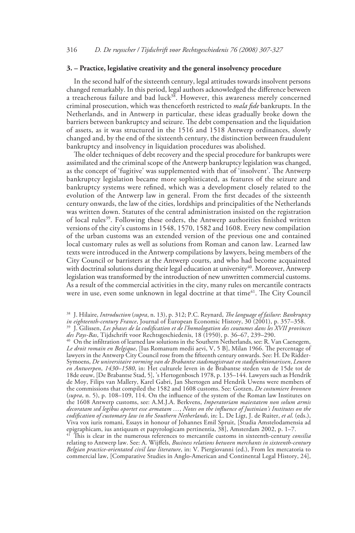# **3. – Practice, legislative creativity and the general insolvency procedure**

In the second half of the sixteenth century, legal attitudes towards insolvent persons changed remarkably. In this period, legal authors acknowledged the difference between a treacherous failure and bad luck<sup>38</sup>. However, this awareness merely concerned criminal prosecution, which was thenceforth restricted to *mala fide* bankrupts. In the Netherlands, and in Antwerp in particular, these ideas gradually broke down the barriers between bankruptcy and seizure. The debt compensation and the liquidation of assets, as it was structured in the 1516 and 1518 Antwerp ordinances, slowly changed and, by the end of the sixteenth century, the distinction between fraudulent bankruptcy and insolvency in liquidation procedures was abolished.

The older techniques of debt recovery and the special procedure for bankrupts were assimilated and the criminal scope of the Antwerp bankruptcy legislation was changed, as the concept of 'fugitive' was supplemented with that of 'insolvent'. The Antwerp bankruptcy legislation became more sophisticated, as features of the seizure and bankruptcy systems were refined, which was a development closely related to the evolution of the Antwerp law in general. From the first decades of the sixteenth century onwards, the law of the cities, lordships and principalities of the Netherlands was written down. Statutes of the central administration insisted on the registration of local rules<sup>39</sup>. Following these orders, the Antwerp authorities finished written versions of the city's customs in 1548, 1570, 1582 and 1608. Every new compilation of the urban customs was an extended version of the previous one and contained local customary rules as well as solutions from Roman and canon law. Learned law texts were introduced in the Antwerp compilations by lawyers, being members of the City Council or barristers at the Antwerp courts, and who had become acquainted with doctrinal solutions during their legal education at university $40$ . Moreover, Antwerp legislation was transformed by the introduction of new unwritten commercial customs. As a result of the commercial activities in the city, many rules on mercantile contracts were in use, even some unknown in legal doctrine at that time<sup>41</sup>. The City Council

<sup>40</sup> On the infiltration of learned law solutions in the Southern Netherlands, see: R. Van Caenegem, *Le droit romain en Belgique*, [Ius Romanum medii aevi, V, 5 B], Milan 1966. The percentage of lawyers in the Antwerp City Council rose from the fifteenth century onwards. See: H. De Ridder-Symoens, *De universitaire vorming van de Brabantse stadsmagistraat en stadsfunktionarissen*, *Leuven en Antwerpen*, *1430–1580*, in: Het culturele leven in de Brabantse steden van de 15de tot de 18de eeuw, [De Brabantse Stad, 5], 's Hertogenbosch 1978, p. 135–144. Lawyers such as Hendrik de Moy, Filips van Mallery, Karel Gabri, Jan Shertogen and Hendrik Uwens were members of the commissions that compiled the 1582 and 1608 customs. See: Gotzen, *De costumiere bronnen*  (*supra*, n. 5), p. 108–109, 114. On the influence of the system of the Roman law Institutes on the 1608 Antwerp customs, see: A.M.J.A. Berkvens, *Imperatoriam maiestatem non solum armis decoratam sed legibus oportet esse armatam …*, *Notes on the influence of Justinian's Institutes on the codification of customary law in the Southern Netherlands*, in: L. De Ligt, J. de Ruiter, *et al*. (eds.), Viva vox iuris romani, Essays in honour of Johannes Emil Spruit, [Studia Amstelodamensia ad epigraphicam, ius antiquum et papyrologicam pertinentia, 38], Amsterdam 2002, p. 1–7.

<sup>41</sup> This is clear in the numerous references to mercantile customs in sixteenth-century *consilia* relating to Antwerp law. See: A. Wijffels, *Business relations between merchants in sixteenth-century Belgian practice-orientated civil law literature*, in: V. Piergiovanni (ed.), From lex mercatoria to commercial law, [Comparative Studies in Anglo-American and Continental Legal History, 24],

<sup>38</sup> J. Hilaire, *Introduction* (*supra*, n. 13), p. 312; P.C. Reynard, *The language of failure*: *Bankruptcy in eighteenth-century France*, Journal of European Economic History, 30 (2001), p. 357–358. <sup>39</sup> J. Gilissen, *Les phases de la codification et de l'homologation des coutumes dans les XVII provinces des Pays-Bas*, Tijdschrift voor Rechtsgeschiedenis, 18 (1950), p. 36–67, 239–290.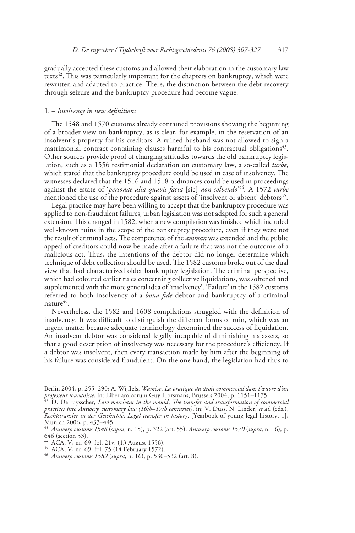gradually accepted these customs and allowed their elaboration in the customary law texts<sup>42</sup>. This was particularly important for the chapters on bankruptcy, which were rewritten and adapted to practice. There, the distinction between the debt recovery through seizure and the bankruptcy procedure had become vague.

#### 1. – *Insolvency in new definitions*

The 1548 and 1570 customs already contained provisions showing the beginning of a broader view on bankruptcy, as is clear, for example, in the reservation of an insolvent's property for his creditors. A ruined husband was not allowed to sign a matrimonial contract containing clauses harmful to his contractual obligations<sup>43</sup>. Other sources provide proof of changing attitudes towards the old bankruptcy legislation, such as a 1556 testimonial declaration on customary law, a so-called *turbe*, which stated that the bankruptcy procedure could be used in case of insolvency. The witnesses declared that the 1516 and 1518 ordinances could be used in proceedings against the estate of '*personae alia quavis facta* [sic] *non solvendo*' <sup>44</sup>*.* A 1572 *turbe* mentioned the use of the procedure against assets of 'insolvent or absent' debtors<sup>45</sup>.

Legal practice may have been willing to accept that the bankruptcy procedure was applied to non-fraudulent failures, urban legislation was not adapted for such a general extension. This changed in 1582, when a new compilation was finished which included well-known ruins in the scope of the bankruptcy procedure, even if they were not the result of criminal acts. The competence of the *amman* was extended and the public appeal of creditors could now be made after a failure that was not the outcome of a malicious act. Thus, the intentions of the debtor did no longer determine which technique of debt collection should be used. The 1582 customs broke out of the dual view that had characterized older bankruptcy legislation. The criminal perspective, which had coloured earlier rules concerning collective liquidations, was softened and supplemented with the more general idea of 'insolvency'. 'Failure' in the 1582 customs referred to both insolvency of a *bona fide* debtor and bankruptcy of a criminal nature<sup>46</sup>.

Nevertheless, the 1582 and 1608 compilations struggled with the definition of insolvency. It was difficult to distinguish the different forms of ruin, which was an urgent matter because adequate terminology determined the success of liquidation. An insolvent debtor was considered legally incapable of diminishing his assets, so that a good description of insolvency was necessary for the procedure's efficiency. If a debtor was insolvent, then every transaction made by him after the beginning of his failure was considered fraudulent. On the one hand, the legislation had thus to

Berlin 2004, p. 255–290; A. Wijffels, *Wamèse*, *La pratique du droit commercial dans l'œuvre d'un professeur louvaniste*, in: Liber amicorum Guy Horsmans, Brussels 2004, p. 1151–1175.

<sup>42</sup> D. De ruysscher, *Law merchant in the mould*, *The transfer and transformation of commercial practices into Antwerp customary law (16th–17th centuries)*, in: V. Duss, N. Linder, *et al*. (eds.), *Rechtstransfer in der Geschichte*, *Legal transfer in history*, [Yearbook of young legal history, 1], Munich 2006, p. 433–445.

<sup>43</sup> *Antwerp customs 1548* (*supra*, n. 15), p. 322 (art. 55); *Antwerp customs 1570* (*supra*, n. 16), p. 646 (section 33).

<sup>44</sup> ACA, V, nr. 69, fol. 21v. (13 August 1556).

<sup>45</sup> ACA, V, nr. 69, fol. 75 (14 February 1572).

<sup>46</sup> *Antwerp customs 1582* (*supra*, n. 16), p. 530–532 (art. 8).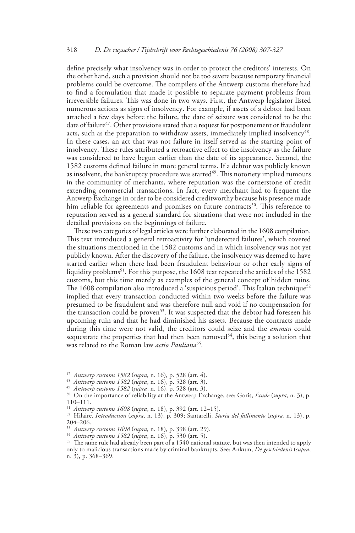define precisely what insolvency was in order to protect the creditors' interests. On the other hand, such a provision should not be too severe because temporary financial problems could be overcome. The compilers of the Antwerp customs therefore had to find a formulation that made it possible to separate payment problems from irreversible failures. This was done in two ways. First, the Antwerp legislator listed numerous actions as signs of insolvency. For example, if assets of a debtor had been attached a few days before the failure, the date of seizure was considered to be the date of failure<sup>47</sup>. Other provisions stated that a request for postponement or fraudulent acts, such as the preparation to withdraw assets, immediately implied insolvency<sup>48</sup>. In these cases, an act that was not failure in itself served as the starting point of insolvency. These rules attributed a retroactive effect to the insolvency as the failure was considered to have begun earlier than the date of its appearance. Second, the 1582 customs defined failure in more general terms. If a debtor was publicly known as insolvent, the bankruptcy procedure was started<sup>49</sup>. This notoriety implied rumours in the community of merchants, where reputation was the cornerstone of credit extending commercial transactions. In fact, every merchant had to frequent the Antwerp Exchange in order to be considered creditworthy because his presence made him reliable for agreements and promises on future contracts<sup>50</sup>. This reference to reputation served as a general standard for situations that were not included in the detailed provisions on the beginnings of failure.

These two categories of legal articles were further elaborated in the 1608 compilation. This text introduced a general retroactivity for 'undetected failures', which covered the situations mentioned in the 1582 customs and in which insolvency was not yet publicly known. After the discovery of the failure, the insolvency was deemed to have started earlier when there had been fraudulent behaviour or other early signs of liquidity problems<sup>51</sup>. For this purpose, the 1608 text repeated the articles of the 1582 customs, but this time merely as examples of the general concept of hidden ruins. The 1608 compilation also introduced a 'suspicious period'. This Italian technique<sup>52</sup> implied that every transaction conducted within two weeks before the failure was presumed to be fraudulent and was therefore null and void if no compensation for the transaction could be proven<sup>53</sup>. It was suspected that the debtor had foreseen his upcoming ruin and that he had diminished his assets. Because the contracts made during this time were not valid, the creditors could seize and the *amman* could sequestrate the properties that had then been removed<sup>54</sup>, this being a solution that was related to the Roman law *actio Pauliana*<sup>55</sup>*.*

<sup>49</sup> *Antwerp customs 1582* (*supra*, n. 16), p. 528 (art. 3).

<sup>51</sup> *Antwerp customs 1608* (*supra*, n. 18), p. 392 (art. 12–15).

- <sup>53</sup> *Antwerp customs 1608* (*supra*, n. 18), p. 398 (art. 29).
- <sup>54</sup> *Antwerp customs 1582* (*supra*, n. 16), p. 530 (art. 5).

<sup>47</sup> *Antwerp customs 1582* (*supra*, n. 16), p. 528 (art. 4).

<sup>48</sup> *Antwerp customs 1582* (*supra*, n. 16), p. 528 (art. 3).

<sup>50</sup> On the importance of reliability at the Antwerp Exchange, see: Goris, *Étude* (*supra*, n. 3), p. 110–111.

<sup>52</sup> Hilaire, *Introduction* (*supra*, n. 13), p. 309; Santarelli, *Storia del fallimento* (*supra*, n. 13), p. 204–206.

<sup>55</sup> The same rule had already been part of a 1540 national statute, but was then intended to apply only to malicious transactions made by criminal bankrupts. See: Ankum, *De geschiedenis* (*supra*, n. 3), p. 368–369.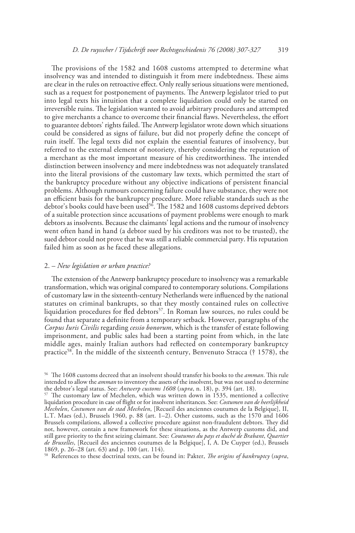The provisions of the 1582 and 1608 customs attempted to determine what insolvency was and intended to distinguish it from mere indebtedness. These aims are clear in the rules on retroactive effect. Only really serious situations were mentioned, such as a request for postponement of payments. The Antwerp legislator tried to put into legal texts his intuition that a complete liquidation could only be started on irreversible ruins. The legislation wanted to avoid arbitrary procedures and attempted to give merchants a chance to overcome their financial flaws. Nevertheless, the effort to guarantee debtors' rights failed. The Antwerp legislator wrote down which situations could be considered as signs of failure, but did not properly define the concept of ruin itself. The legal texts did not explain the essential features of insolvency, but referred to the external element of notoriety, thereby considering the reputation of a merchant as the most important measure of his creditworthiness. The intended distinction between insolvency and mere indebtedness was not adequately translated into the literal provisions of the customary law texts, which permitted the start of the bankruptcy procedure without any objective indications of persistent financial problems. Although rumours concerning failure could have substance, they were not an efficient basis for the bankruptcy procedure. More reliable standards such as the debtor's books could have been used<sup>56</sup>. The 1582 and 1608 customs deprived debtors of a suitable protection since accusations of payment problems were enough to mark debtors as insolvents. Because the claimants' legal actions and the rumour of insolvency went often hand in hand (a debtor sued by his creditors was not to be trusted), the sued debtor could not prove that he was still a reliable commercial party. His reputation failed him as soon as he faced these allegations.

#### 2. – *New legislation or urban practice?*

The extension of the Antwerp bankruptcy procedure to insolvency was a remarkable transformation, which was original compared to contemporary solutions. Compilations of customary law in the sixteenth-century Netherlands were influenced by the national statutes on criminal bankrupts, so that they mostly contained rules on collective liquidation procedures for fled debtors<sup>57</sup>. In Roman law sources, no rules could be found that separate a definite from a temporary setback. However, paragraphs of the *Corpus Iuris Civilis* regarding *cessio bonorum*, which is the transfer of estate following imprisonment, and public sales had been a starting point from which, in the late middle ages, mainly Italian authors had reflected on contemporary bankruptcy practice<sup>58</sup>. In the middle of the sixteenth century, Benvenuto Stracca († 1578), the

<sup>58</sup> References to these doctrinal texts, can be found in: Pakter, *The origins of bankruptcy* (*supra*,

<sup>56</sup> The 1608 customs decreed that an insolvent should transfer his books to the *amman*. This rule intended to allow the *amman* to inventory the assets of the insolvent, but was not used to determine the debtor's legal status. See: *Antwerp customs 1608* (*supra*, n. 18), p. 394 (art. 18).

<sup>&</sup>lt;sup>57</sup> The customary law of Mechelen, which was written down in 1535, mentioned a collective liquidation procedure in case of flight or for insolvent inheritances. See: *Costumen van de heerlijkheid Mechelen*, *Costumen van de stad Mechelen*, [Recueil des anciennes coutumes de la Belgique], II, L.T. Maes (ed.), Brussels 1960, p. 88 (art. 1–2). Other customs, such as the 1570 and 1606 Brussels compilations, allowed a collective procedure against non-fraudulent debtors. They did not, however, contain a new framework for these situations, as the Antwerp customs did, and still gave priority to the first seizing claimant. See: *Coutumes du pays et duché de Brabant*, *Quartier de Bruxelles*, [Recueil des anciennes coutumes de la Belgique], I, A. De Cuyper (ed.), Brussels 1869, p. 26–28 (art. 63) and p. 100 (art. 114).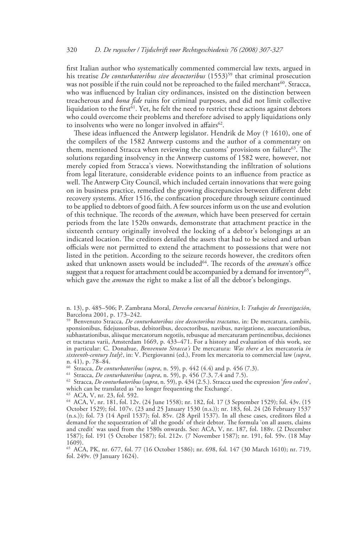first Italian author who systematically commented commercial law texts, argued in his treatise *De conturbatoribus sive decoctoribus* (1553)<sup>59</sup> that criminal prosecution was not possible if the ruin could not be reproached to the failed merchant<sup>60</sup>. Stracca, who was influenced by Italian city ordinances, insisted on the distinction between treacherous and *bona fide* ruins for criminal purposes, and did not limit collective liquidation to the first $61$ . Yet, he felt the need to restrict these actions against debtors who could overcome their problems and therefore advised to apply liquidations only to insolvents who were no longer involved in affairs $62$ .

These ideas influenced the Antwerp legislator. Hendrik de Moy († 1610), one of the compilers of the 1582 Antwerp customs and the author of a commentary on them, mentioned Stracca when reviewing the customs' provisions on failure<sup>63</sup>. The solutions regarding insolvency in the Antwerp customs of 1582 were, however, not merely copied from Stracca's views. Notwithstanding the infiltration of solutions from legal literature, considerable evidence points to an influence from practice as well. The Antwerp City Council, which included certain innovations that were going on in business practice, remedied the growing discrepancies between different debt recovery systems. After 1516, the confiscation procedure through seizure continued to be applied to debtors of good faith. A few sources inform us on the use and evolution of this technique. The records of the *amman*, which have been preserved for certain periods from the late 1520s onwards, demonstrate that attachment practice in the sixteenth century originally involved the locking of a debtor's belongings at an indicated location. The creditors detailed the assets that had to be seized and urban officials were not permitted to extend the attachment to possessions that were not listed in the petition. According to the seizure records however, the creditors often asked that unknown assets would be included<sup>64</sup>. The records of the *amman*'s office suggest that a request for attachment could be accompanied by a demand for inventory<sup>65</sup>, which gave the *amman* the right to make a list of all the debtor's belongings.

n. 13), p. 485–506; P. Zambrana Moral, *Derecho concursal histórico*, I: *Trabajos de Investigación*, Barcelona 2001, p. 173–242.

<sup>59</sup> Benvenuto Stracca, *De conturbatoribus sive decoctoribus tractatus*, in: De mercatura, cambiis, sponsionibus, fidejussoribus, debitoribus, decoctoribus, navibus, navigatione, assecurationibus, subhastationibus, aliisque mercatorum negotiis, rebusque ad mercaturam pertinentibus, decisiones et tractatus varii, Amsterdam 1669, p. 433–471. For a history and evaluation of this work, see in particular: C. Donahue, *Benvenuto Stracca's* De mercatura: *Was there a* lex mercatoria *in sixteenth-century Italy*?, in: V. Piergiovanni (ed.), From lex mercatoria to commercial law (*supra*, n. 41), p. 78–84.

<sup>60</sup> Stracca, *De conturbatoribus* (*supra*, n. 59), p. 442 (4.4) and p. 456 (7.3).

<sup>61</sup> Stracca, *De conturbatoribus* (*supra*, n. 59), p. 456 (7.3, 7.4 and 7.5).

<sup>62</sup> Stracca, *De conturbatoribus* (*supra*, n. 59), p. 434 (2.5.). Stracca used the expression '*foro cedere*', which can be translated as 'no longer frequenting the Exchange'.

<sup>63</sup> ACA, V, nr. 23, fol. 592.

<sup>64</sup> ACA, V, nr. 181, fol. 12v. (24 June 1558); nr. 182, fol. 17 (3 September 1529); fol. 43v. (15 October 1529); fol. 107v. (23 and 25 January 1530 (n.s.)); nr. 183, fol. 24 (26 February 1537 (n.s.)); fol. 73 (14 April 1537); fol. 85v. (28 April 1537). In all these cases, creditors filed a demand for the sequestration of 'all the goods' of their debtor. The formula 'on all assets, claims and credit' was used from the 1580s onwards. See: ACA, V, nr. 187, fol. 188v. (2 December 1587); fol. 191 (5 October 1587); fol. 212v. (7 November 1587); nr. 191, fol. 59v. (18 May 1609).

<sup>65</sup> ACA, PK, nr. 677, fol. 77 (16 October 1586); nr. 698, fol. 147 (30 March 1610); nr. 719, fol. 249v. (9 January 1624).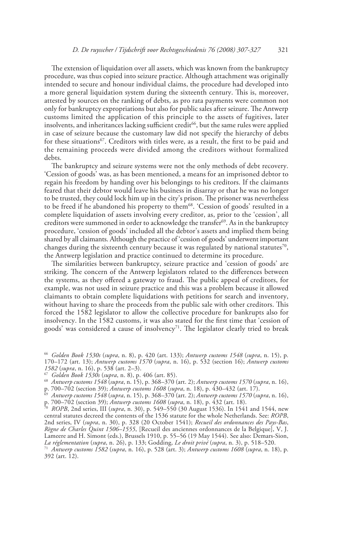The extension of liquidation over all assets, which was known from the bankruptcy procedure, was thus copied into seizure practice. Although attachment was originally intended to secure and honour individual claims, the procedure had developed into a more general liquidation system during the sixteenth century. This is, moreover, attested by sources on the ranking of debts, as pro rata payments were common not only for bankruptcy expropriations but also for public sales after seizure. The Antwerp customs limited the application of this principle to the assets of fugitives, later insolvents, and inheritances lacking sufficient credit<sup>66</sup>, but the same rules were applied in case of seizure because the customary law did not specify the hierarchy of debts for these situations<sup>67</sup>. Creditors with titles were, as a result, the first to be paid and the remaining proceeds were divided among the creditors without formalized debts.

The bankruptcy and seizure systems were not the only methods of debt recovery. 'Cession of goods' was, as has been mentioned, a means for an imprisoned debtor to regain his freedom by handing over his belongings to his creditors. If the claimants feared that their debtor would leave his business in disarray or that he was no longer to be trusted, they could lock him up in the city's prison. The prisoner was nevertheless to be freed if he abandoned his property to them<sup>68</sup>. 'Cession of goods' resulted in a complete liquidation of assets involving every creditor, as, prior to the 'cession', all creditors were summoned in order to acknowledge the transfer<sup>69</sup>. As in the bankruptcy procedure, 'cession of goods' included all the debtor's assets and implied them being shared by all claimants. Although the practice of 'cession of goods' underwent important changes during the sixteenth century because it was regulated by national statutes<sup>70</sup>, the Antwerp legislation and practice continued to determine its procedure.

The similarities between bankruptcy, seizure practice and 'cession of goods' are striking. The concern of the Antwerp legislators related to the differences between the systems, as they offered a gateway to fraud. The public appeal of creditors, for example, was not used in seizure practice and this was a problem because it allowed claimants to obtain complete liquidations with petitions for search and inventory, without having to share the proceeds from the public sale with other creditors. This forced the 1582 legislator to allow the collective procedure for bankrupts also for insolvency. In the 1582 customs, it was also stated for the first time that 'cession of goods' was considered a cause of insolvency<sup>71</sup>. The legislator clearly tried to break

<sup>66</sup> *Golden Book 1530s* (*supra*, n. 8), p. 420 (art. 133); *Antwerp customs 1548* (*supra*, n. 15), p. 170–172 (art. 13); *Antwerp customs 1570* (*supra*, n. 16), p. 532 (section 16); *Antwerp customs 1582* (*supra*, n. 16), p. 538 (art. 2–3).

<sup>67</sup> *Golden Book 1530s* (*supra*, n. 8), p. 406 (art. 85).

<sup>68</sup> *Antwerp customs 1548* (*supra*, n. 15), p. 368–370 (art. 2); *Antwerp customs 1570* (*supra*, n. 16), p. 700–702 (section 39); *Antwerp customs 1608 (supra*, n. 18), p. 430–432 (art. 17).

<sup>69</sup> *Antwerp customs 1548* (*supra*, n. 15), p. 368–370 (art. 2); *Antwerp customs 1570* (*supra*, n. 16),

p. 700–702 (section 39); *Antwerp customs 1608* (*supra*, n. 18), p. 432 (art. 18). 70 *ROPB*, 2nd series, III (*supra*, n. 30), p. 549–550 (30 August 1536). In 1541 and 1544, new central statutes decreed the contents of the 1536 statute for the whole Netherlands. See: *ROPB*, 2nd series, IV (*supra*, n. 30), p. 328 (20 October 1541); *Recueil des ordonnances des Pays-Bas*, *Règne de Charles Quint 1506–1555*, [Recueil des anciennes ordonnances de la Belgique], V, J. Lameere and H. Simont (eds.), Brussels 1910, p. 55–56 (19 May 1544). See also: Demars-Sion, *La réglementation* (*supra*, n. 26), p. 133; Godding, *Le droit privé* (*supra*, n. 3), p. 518–520.

<sup>71</sup> *Antwerp customs 1582* (*supra*, n. 16), p. 528 (art. 3); *Antwerp customs 1608* (*supra*, n. 18), p. 392 (art. 12).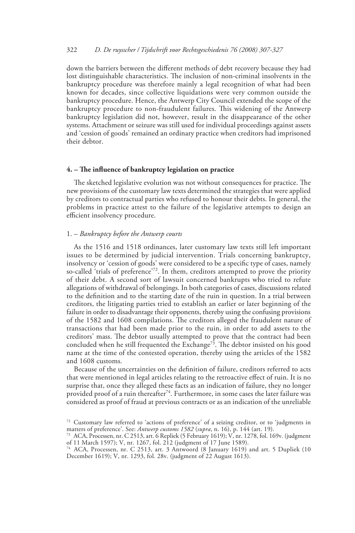down the barriers between the different methods of debt recovery because they had lost distinguishable characteristics. The inclusion of non-criminal insolvents in the bankruptcy procedure was therefore mainly a legal recognition of what had been known for decades, since collective liquidations were very common outside the bankruptcy procedure. Hence, the Antwerp City Council extended the scope of the bankruptcy procedure to non-fraudulent failures. This widening of the Antwerp bankruptcy legislation did not, however, result in the disappearance of the other systems. Attachment or seizure was still used for individual proceedings against assets and 'cession of goods' remained an ordinary practice when creditors had imprisoned their debtor.

# **4. – The influence of bankruptcy legislation on practice**

The sketched legislative evolution was not without consequences for practice. The new provisions of the customary law texts determined the strategies that were applied by creditors to contractual parties who refused to honour their debts. In general, the problems in practice attest to the failure of the legislative attempts to design an efficient insolvency procedure.

#### 1. – *Bankruptcy before the Antwerp courts*

As the 1516 and 1518 ordinances, later customary law texts still left important issues to be determined by judicial intervention. Trials concerning bankruptcy, insolvency or 'cession of goods' were considered to be a specific type of cases, namely so-called 'trials of preference'<sup>72</sup>. In them, creditors attempted to prove the priority of their debt. A second sort of lawsuit concerned bankrupts who tried to refute allegations of withdrawal of belongings. In both categories of cases, discussions related to the definition and to the starting date of the ruin in question. In a trial between creditors, the litigating parties tried to establish an earlier or later beginning of the failure in order to disadvantage their opponents, thereby using the confusing provisions of the 1582 and 1608 compilations. The creditors alleged the fraudulent nature of transactions that had been made prior to the ruin, in order to add assets to the creditors' mass. The debtor usually attempted to prove that the contract had been concluded when he still frequented the Exchange<sup>73</sup>. The debtor insisted on his good name at the time of the contested operation, thereby using the articles of the 1582 and 1608 customs.

Because of the uncertainties on the definition of failure, creditors referred to acts that were mentioned in legal articles relating to the retroactive effect of ruin. It is no surprise that, once they alleged these facts as an indication of failure, they no longer provided proof of a ruin thereafter<sup>74</sup>. Furthermore, in some cases the later failure was considered as proof of fraud at previous contracts or as an indication of the unreliable

<sup>72</sup> Customary law referred to 'actions of preference' of a seizing creditor, or to 'judgments in matters of preference'. See: *Antwerp customs 1582* (*supra*, n. 16), p. 144 (art. 19).

<sup>73</sup> ACA, Processen, nr. C 2513, art. 6 Repliek (5 February 1619); V, nr. 1278, fol. 169v. (judgment of 11 March 1597); V, nr. 1267, fol. 212 (judgment of 17 June 1589).

<sup>74</sup> ACA, Processen, nr. C 2513, art. 3 Antwoord (8 January 1619) and art. 5 Dupliek (10 December 1619); V, nr. 1293, fol. 28v. (judgment of 22 August 1613).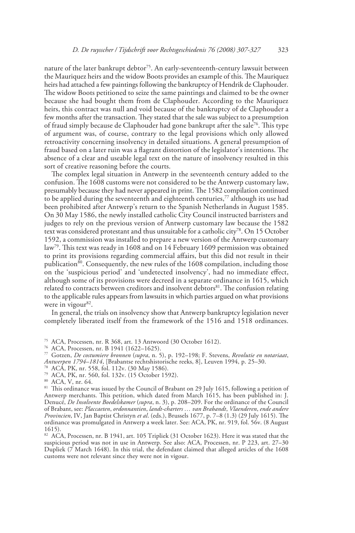nature of the later bankrupt debtor<sup>75</sup>. An early-seventeenth-century lawsuit between the Mauriquez heirs and the widow Boots provides an example of this. The Mauriquez heirs had attached a few paintings following the bankruptcy of Hendrik de Claphouder. The widow Boots petitioned to seize the same paintings and claimed to be the owner because she had bought them from de Claphouder. According to the Mauriquez heirs, this contract was null and void because of the bankruptcy of de Claphouder a few months after the transaction. They stated that the sale was subject to a presumption of fraud simply because de Claphouder had gone bankrupt after the sale<sup>76</sup>. This type of argument was, of course, contrary to the legal provisions which only allowed retroactivity concerning insolvency in detailed situations. A general presumption of fraud based on a later ruin was a flagrant distortion of the legislator's intentions. The absence of a clear and useable legal text on the nature of insolvency resulted in this sort of creative reasoning before the courts.

The complex legal situation in Antwerp in the seventeenth century added to the confusion. The 1608 customs were not considered to be the Antwerp customary law, presumably because they had never appeared in print. The 1582 compilation continued to be applied during the seventeenth and eighteenth centuries,<sup>77</sup> although its use had been prohibited after Antwerp's return to the Spanish Netherlands in August 1585. On 30 May 1586, the newly installed catholic City Council instructed barristers and judges to rely on the previous version of Antwerp customary law because the 1582 text was considered protestant and thus unsuitable for a catholic city<sup>78</sup>. On 15 October 1592, a commission was installed to prepare a new version of the Antwerp customary law79. This text was ready in 1608 and on 14 February 1609 permission was obtained to print its provisions regarding commercial affairs, but this did not result in their publication ${}^{80}$ . Consequently, the new rules of the 1608 compilation, including those on the 'suspicious period' and 'undetected insolvency', had no immediate effect, although some of its provisions were decreed in a separate ordinance in 1615, which related to contracts between creditors and insolvent debtors<sup>81</sup>. The confusion relating to the applicable rules appears from lawsuits in which parties argued on what provisions were in vigour $82$ .

In general, the trials on insolvency show that Antwerp bankruptcy legislation never completely liberated itself from the framework of the 1516 and 1518 ordinances.

<sup>77</sup> Gotzen, *De costumiere bronnen* (*supra*, n. 5), p. 192–198; F. Stevens, *Revolutie en notariaat*, *Antwerpen 1794–1814*, [Brabantse rechtshistorische reeks, 8], Leuven 1994, p. 25–30.

- <sup>78</sup> ACA, PK, nr. 558, fol. 112v. (30 May 1586).
- <sup>79</sup> ACA, PK, nr. 560, fol. 132v. (15 October 1592).

<sup>81</sup> This ordinance was issued by the Council of Brabant on 29 July 1615, following a petition of Antwerp merchants. This petition, which dated from March 1615, has been published in: J. Denucé, *De Insolvente Boedelskamer* (*supra*, n. 3), p. 208–209. For the ordinance of the Council of Brabant, see: *Placcaeten*, *ordonnantien*, *landt-charters … van Brabandt*, *Vlaenderen*, *ende andere Provincien*, IV, Jan Baptist Christyn *et al*. (eds.), Brussels 1677, p. 7–8 (1.3) (29 July 1615). The ordinance was promulgated in Antwerp a week later. See: ACA, PK, nr. 919, fol. 56v. (8 August 1615).

82 ACA, Processen, nr. B 1941, art. 105 Tripliek (31 October 1623). Here it was stated that the suspicious period was not in use in Antwerp. See also: ACA, Processen, nr. P 223, art. 27–30 Dupliek (7 March 1648). In this trial, the defendant claimed that alleged articles of the 1608 customs were not relevant since they were not in vigour.

<sup>75</sup> ACA, Processen, nr. R 368, art. 13 Antwoord (30 October 1612).

<sup>76</sup> ACA, Processen, nr. B 1941 (1622–1625).

<sup>80</sup> ACA, V, nr. 64.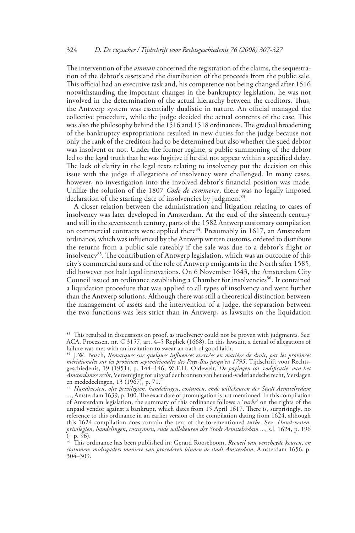The intervention of the *amman* concerned the registration of the claims, the sequestration of the debtor's assets and the distribution of the proceeds from the public sale. This official had an executive task and, his competence not being changed after 1516 notwithstanding the important changes in the bankruptcy legislation, he was not involved in the determination of the actual hierarchy between the creditors. Thus, the Antwerp system was essentially dualistic in nature. An official managed the collective procedure, while the judge decided the actual contents of the case. This was also the philosophy behind the 1516 and 1518 ordinances. The gradual broadening of the bankruptcy expropriations resulted in new duties for the judge because not only the rank of the creditors had to be determined but also whether the sued debtor was insolvent or not. Under the former regime, a public summoning of the debtor led to the legal truth that he was fugitive if he did not appear within a specified delay. The lack of clarity in the legal texts relating to insolvency put the decision on this issue with the judge if allegations of insolvency were challenged. In many cases, however, no investigation into the involved debtor's financial position was made. Unlike the solution of the 1807 *Code de commerce*, there was no legally imposed declaration of the starting date of insolvencies by judgment $83$ .

A closer relation between the administration and litigation relating to cases of insolvency was later developed in Amsterdam. At the end of the sixteenth century and still in the seventeenth century, parts of the 1582 Antwerp customary compilation on commercial contracts were applied there<sup>84</sup>. Presumably in 1617, an Amsterdam ordinance, which was influenced by the Antwerp written customs, ordered to distribute the returns from a public sale rateably if the sale was due to a debtor's flight or insolvency<sup>85</sup>. The contribution of Antwerp legislation, which was an outcome of this city's commercial aura and of the role of Antwerp emigrants in the North after 1585, did however not halt legal innovations. On 6 November 1643, the Amsterdam City Council issued an ordinance establishing a Chamber for insolvencies<sup>86</sup>. It contained a liquidation procedure that was applied to all types of insolvency and went further than the Antwerp solutions. Although there was still a theoretical distinction between the management of assets and the intervention of a judge, the separation between the two functions was less strict than in Antwerp, as lawsuits on the liquidation

<sup>83</sup> This resulted in discussions on proof, as insolvency could not be proven with judgments. See: ACA, Processen, nr. C 3157, art. 4–5 Repliek (1668). In this lawsuit, a denial of allegations of failure was met with an invitation to swear an oath of good faith.

<sup>84</sup> J.W. Bosch, *Remarques sur quelques influences exercées en matière de droit*, *par les provinces méridionales sur les provinces septentrionales des Pays-Bas jusqu'en 1795*, Tijdschrift voor Rechtsgeschiedenis, 19 (1951), p. 144–146; W.F.H. Oldewelt, *De pogingen tot 'codificatie' van het Amsterdamse recht*, Vereeniging tot uitgaaf der bronnen van het oud-vaderlandsche recht, Verslagen en mededeelingen, 13 (1967), p. 71.

<sup>85</sup> *Handtvesten*, *ofte privilegien*, *handelingen*, *costumen*, *ende willekeuren der Stadt Aemstelredam ...*, Amsterdam 1639, p. 100. The exact date of promulgation is not mentioned. In this compilation of Amsterdam legislation, the summary of this ordinance follows a '*turbe*' on the rights of the unpaid vendor against a bankrupt, which dates from 15 April 1617. There is, surprisingly, no reference to this ordinance in an earlier version of the compilation dating from 1624, although this 1624 compilation does contain the text of the forementioned *turbe*. See: *Hand-vesten*, *privilegien*, *handelingen*, *costuymen*, *ende willekeuren der Stadt Aemstelredam ...*, s.l. 1624, p. 196 (= p. 96).

<sup>86</sup> This ordinance has been published in: Gerard Rooseboom, *Recueil van verscheyde keuren*, *en costumen*: *midtsgaders maniere van procederen binnen de stadt Amsterdam*, Amsterdam 1656, p. 304–309.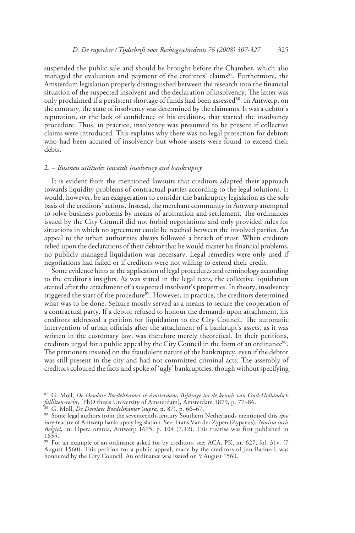suspended the public sale and should be brought before the Chamber, which also managed the evaluation and payment of the creditors' claims<sup>87</sup>. Furthermore, the Amsterdam legislation properly distinguished between the research into the financial situation of the suspected insolvent and the declaration of insolvency. The latter was only proclaimed if a persistent shortage of funds had been assessed<sup>88</sup>. In Antwerp, on the contrary, the state of insolvency was determined by the claimants. It was a debtor's reputation, or the lack of confidence of his creditors, that started the insolvency procedure. Thus, in practice, insolvency was presumed to be present if collective claims were introduced. This explains why there was no legal protection for debtors who had been accused of insolvency but whose assets were found to exceed their debts.

#### 2. – *Business attitudes towards insolvency and bankruptcy*

It is evident from the mentioned lawsuits that creditors adapted their approach towards liquidity problems of contractual parties according to the legal solutions. It would, however, be an exaggeration to consider the bankruptcy legislation as the sole basis of the creditors' actions. Instead, the merchant community in Antwerp attempted to solve business problems by means of arbitration and settlement. The ordinances issued by the City Council did not forbid negotiations and only provided rules for situations in which no agreement could be reached between the involved parties. An appeal to the urban authorities always followed a breach of trust. When creditors relied upon the declarations of their debtor that he would master his financial problems, no publicly managed liquidation was necessary. Legal remedies were only used if negotiations had failed or if creditors were not willing to extend their credit.

Some evidence hints at the application of legal procedures and terminology according to the creditor's insights. As was stated in the legal texts, the collective liquidation started after the attachment of a suspected insolvent's properties. In theory, insolvency triggered the start of the procedure<sup>89</sup>. However, in practice, the creditors determined what was to be done. Seizure mostly served as a means to secure the cooperation of a contractual party. If a debtor refused to honour the demands upon attachment, his creditors addressed a petition for liquidation to the City Council. The automatic intervention of urban officials after the attachment of a bankrupt's assets, as it was written in the customary law, was therefore merely theoretical. In their petitions, creditors urged for a public appeal by the City Council in the form of an ordinance<sup>90</sup>. The petitioners insisted on the fraudulent nature of the bankruptcy, even if the debtor was still present in the city and had not committed criminal acts. The assembly of creditors coloured the facts and spoke of 'ugly' bankruptcies, though without specifying

<sup>87</sup> G. Moll, *De Desolate Boedelskamer te Amsterdam*, *Bijdrage tot de kennis van Oud-Hollandsch failliten-recht*, [PhD thesis University of Amsterdam], Amsterdam 1879, p. 77–86.

<sup>88</sup> G. Moll, *De Desolate Boedelskamer* (*supra*, n. 87), p. 66–67.

<sup>89</sup> Some legal authors from the seventeenth-century Southern Netherlands mentioned this *ipso iure*-feature of Antwerp bankruptcy legislation. See: Frans Van der Zypen (Zypaeus), *Notitia iuris Belgici*, in: Opera omnia, Antwerp 1675, p. 104 (7.12). This treatise was first published in 1635.

<sup>90</sup> For an example of an ordinance asked for by creditors, see: ACA, PK, nr. 627, fol. 31v. (7 August 1560). This petition for a public appeal, made by the creditors of Jan Badueri, was honoured by the City Council. An ordinance was issued on 9 August 1560.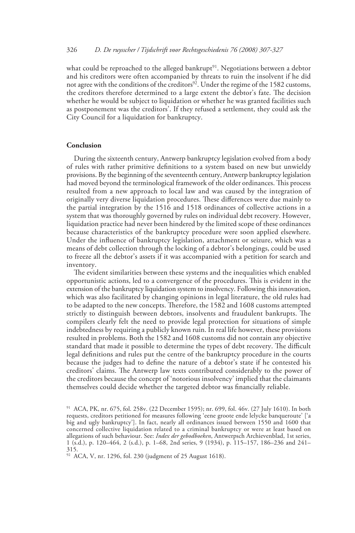what could be reproached to the alleged bankrupt<sup>91</sup>. Negotiations between a debtor and his creditors were often accompanied by threats to ruin the insolvent if he did not agree with the conditions of the creditors $92$ . Under the regime of the 1582 customs, the creditors therefore determined to a large extent the debtor's fate. The decision whether he would be subject to liquidation or whether he was granted facilities such as postponement was the creditors'. If they refused a settlement, they could ask the City Council for a liquidation for bankruptcy.

# **Conclusion**

During the sixteenth century, Antwerp bankruptcy legislation evolved from a body of rules with rather primitive definitions to a system based on new but unwieldy provisions. By the beginning of the seventeenth century, Antwerp bankruptcy legislation had moved beyond the terminological framework of the older ordinances. This process resulted from a new approach to local law and was caused by the integration of originally very diverse liquidation procedures. These differences were due mainly to the partial integration by the 1516 and 1518 ordinances of collective actions in a system that was thoroughly governed by rules on individual debt recovery. However, liquidation practice had never been hindered by the limited scope of these ordinances because characteristics of the bankruptcy procedure were soon applied elsewhere. Under the influence of bankruptcy legislation, attachment or seizure, which was a means of debt collection through the locking of a debtor's belongings, could be used to freeze all the debtor's assets if it was accompanied with a petition for search and inventory.

The evident similarities between these systems and the inequalities which enabled opportunistic actions, led to a convergence of the procedures. This is evident in the extension of the bankruptcy liquidation system to insolvency. Following this innovation, which was also facilitated by changing opinions in legal literature, the old rules had to be adapted to the new concepts. Therefore, the 1582 and 1608 customs attempted strictly to distinguish between debtors, insolvents and fraudulent bankrupts. The compilers clearly felt the need to provide legal protection for situations of simple indebtedness by requiring a publicly known ruin. In real life however, these provisions resulted in problems. Both the 1582 and 1608 customs did not contain any objective standard that made it possible to determine the types of debt recovery. The difficult legal definitions and rules put the centre of the bankruptcy procedure in the courts because the judges had to define the nature of a debtor's state if he contested his creditors' claims. The Antwerp law texts contributed considerably to the power of the creditors because the concept of 'notorious insolvency' implied that the claimants themselves could decide whether the targeted debtor was financially reliable.

<sup>91</sup> ACA, PK, nr. 675, fol. 258v. (22 December 1595); nr. 699, fol. 46v. (27 July 1610). In both requests, creditors petitioned for measures following 'eene groote ende lelycke banqueroute' ['a big and ugly bankruptcy']. In fact, nearly all ordinances issued between 1550 and 1600 that concerned collective liquidation related to a criminal bankruptcy or were at least based on allegations of such behaviour. See: *Index der gebodboeken*, Antwerpsch Archievenblad, 1st series, 1 (s.d.), p. 120–464, 2 (s.d.), p. 1–68, 2nd series, 9 (1934), p. 115–157, 186–236 and 241– 315.

<sup>92</sup> ACA, V, nr. 1296, fol. 230 (judgment of 25 August 1618).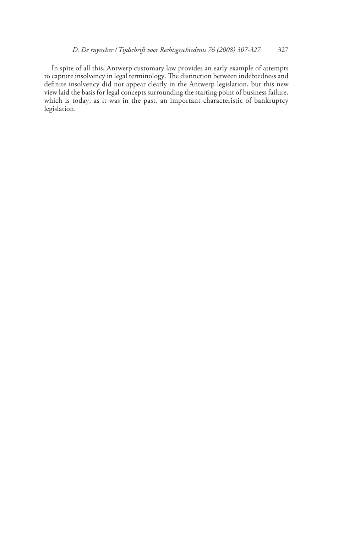In spite of all this, Antwerp customary law provides an early example of attempts to capture insolvency in legal terminology. The distinction between indebtedness and definite insolvency did not appear clearly in the Antwerp legislation, but this new view laid the basis for legal concepts surrounding the starting point of business failure, which is today, as it was in the past, an important characteristic of bankruptcy legislation.